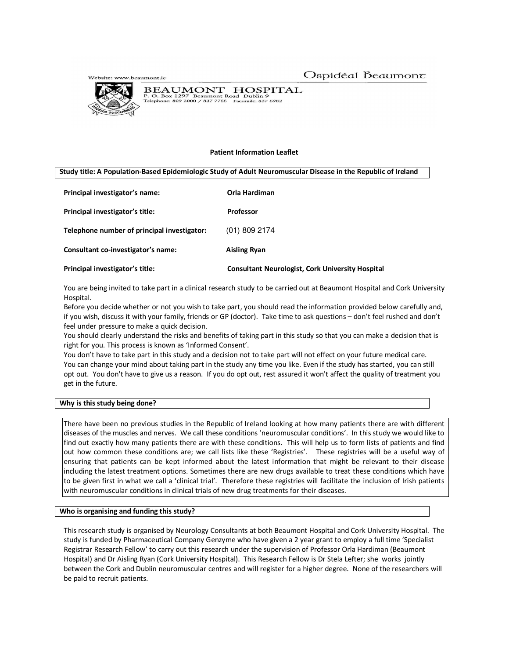Website: www.beaumont.ie



BEAUMONT HOSPITAL<br>P. O. Box 1297 Beaumont Road Dublin 9<br>Telephone: 809 3000 / 837 7755 Facsimile: 837 6982

# **Patient Information Leaflet**

**Study title: A Population-Based Epidemiologic Study of Adult Neuromuscular Disease in the Republic of Ireland**

| Principal investigator's name:              | Orla Hardiman                                           |
|---------------------------------------------|---------------------------------------------------------|
| Principal investigator's title:             | <b>Professor</b>                                        |
| Telephone number of principal investigator: | $(01)$ 809 2174                                         |
| Consultant co-investigator's name:          | <b>Aisling Ryan</b>                                     |
| Principal investigator's title:             | <b>Consultant Neurologist, Cork University Hospital</b> |

You are being invited to take part in a clinical research study to be carried out at Beaumont Hospital and Cork University Hospital.

Before you decide whether or not you wish to take part, you should read the information provided below carefully and, if you wish, discuss it with your family, friends or GP (doctor). Take time to ask questions – don't feel rushed and don't feel under pressure to make a quick decision.

You should clearly understand the risks and benefits of taking part in this study so that you can make a decision that is right for you. This process is known as 'Informed Consent'.

You don't have to take part in this study and a decision not to take part will not effect on your future medical care. You can change your mind about taking part in the study any time you like. Even if the study has started, you can still opt out. You don't have to give us a reason. If you do opt out, rest assured it won't affect the quality of treatment you get in the future.

# **Why is this study being done?**

There have been no previous studies in the Republic of Ireland looking at how many patients there are with different diseases of the muscles and nerves. We call these conditions 'neuromuscular conditions'. In this study we would like to find out exactly how many patients there are with these conditions. This will help us to form lists of patients and find out how common these conditions are; we call lists like these 'Registries'. These registries will be a useful way of ensuring that patients can be kept informed about the latest information that might be relevant to their disease including the latest treatment options. Sometimes there are new drugs available to treat these conditions which have to be given first in what we call a 'clinical trial'. Therefore these registries will facilitate the inclusion of Irish patients with neuromuscular conditions in clinical trials of new drug treatments for their diseases.

# **Who is organising and funding this study?**

This research study is organised by Neurology Consultants at both Beaumont Hospital and Cork University Hospital. The study is funded by Pharmaceutical Company Genzyme who have given a 2 year grant to employ a full time 'Specialist Registrar Research Fellow' to carry out this research under the supervision of Professor Orla Hardiman (Beaumont Hospital) and Dr Aisling Ryan (Cork University Hospital). This Research Fellow is Dr Stela Lefter; she works jointly between the Cork and Dublin neuromuscular centres and will register for a higher degree. None of the researchers will be paid to recruit patients.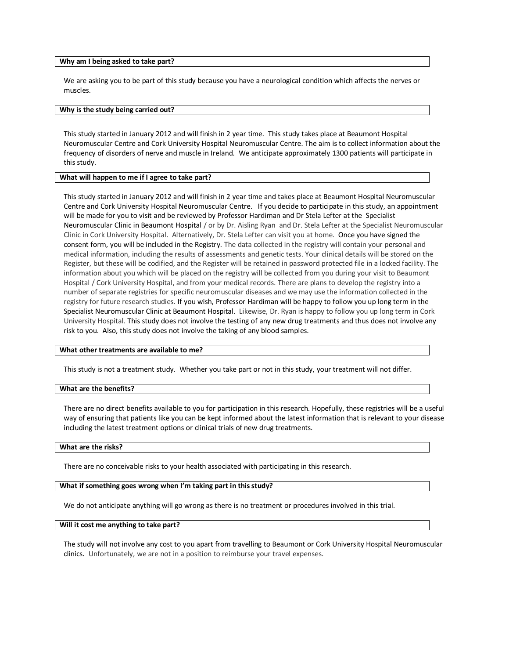#### **Why am I being asked to take part?**

We are asking you to be part of this study because you have a neurological condition which affects the nerves or muscles.

## **Why is the study being carried out?**

This study started in January 2012 and will finish in 2 year time. This study takes place at Beaumont Hospital Neuromuscular Centre and Cork University Hospital Neuromuscular Centre. The aim is to collect information about the frequency of disorders of nerve and muscle in Ireland. We anticipate approximately 1300 patients will participate in this study.

## **What will happen to me if I agree to take part?**

This study started in January 2012 and will finish in 2 year time and takes place at Beaumont Hospital Neuromuscular Centre and Cork University Hospital Neuromuscular Centre. If you decide to participate in this study, an appointment will be made for you to visit and be reviewed by Professor Hardiman and Dr Stela Lefter at the Specialist Neuromuscular Clinic in Beaumont Hospital / or by Dr. Aisling Ryan and Dr. Stela Lefter at the Specialist Neuromuscular Clinic in Cork University Hospital. Alternatively, Dr. Stela Lefter can visit you at home. Once you have signed the consent form, you will be included in the Registry. The data collected in the registry will contain your personal and medical information, including the results of assessments and genetic tests. Your clinical details will be stored on the Register, but these will be codified, and the Register will be retained in password protected file in a locked facility. The information about you which will be placed on the registry will be collected from you during your visit to Beaumont Hospital / Cork University Hospital, and from your medical records. There are plans to develop the registry into a number of separate registries for specific neuromuscular diseases and we may use the information collected in the registry for future research studies. If you wish, Professor Hardiman will be happy to follow you up long term in the Specialist Neuromuscular Clinic at Beaumont Hospital. Likewise, Dr. Ryan is happy to follow you up long term in Cork University Hospital. This study does not involve the testing of any new drug treatments and thus does not involve any risk to you. Also, this study does not involve the taking of any blood samples.

#### **What other treatments are available to me?**

This study is not a treatment study. Whether you take part or not in this study, your treatment will not differ.

### **What are the benefits?**

There are no direct benefits available to you for participation in this research. Hopefully, these registries will be a useful way of ensuring that patients like you can be kept informed about the latest information that is relevant to your disease including the latest treatment options or clinical trials of new drug treatments.

## **What are the risks?**

There are no conceivable risks to your health associated with participating in this research.

### **What if something goes wrong when I'm taking part in this study?**

We do not anticipate anything will go wrong as there is no treatment or procedures involved in this trial.

#### **Will it cost me anything to take part?**

The study will not involve any cost to you apart from travelling to Beaumont or Cork University Hospital Neuromuscular clinics. Unfortunately, we are not in a position to reimburse your travel expenses.